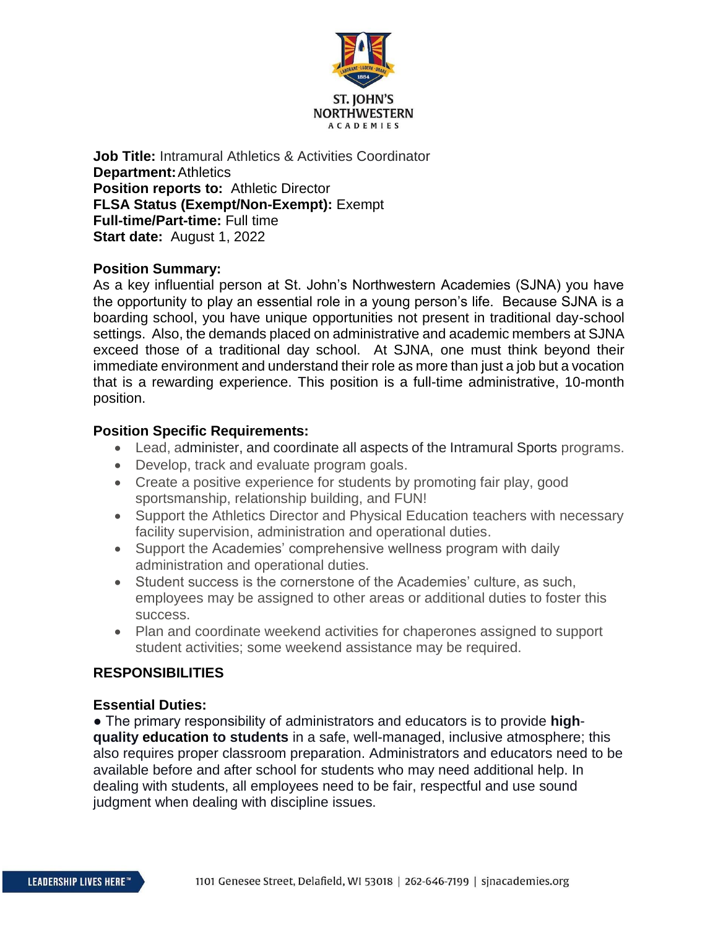

**Job Title:** Intramural Athletics & Activities Coordinator **Department:**Athletics **Position reports to:** Athletic Director **FLSA Status (Exempt/Non-Exempt):** Exempt **Full-time/Part-time:** Full time **Start date:** August 1, 2022

### **Position Summary:**

As a key influential person at St. John's Northwestern Academies (SJNA) you have the opportunity to play an essential role in a young person's life. Because SJNA is a boarding school, you have unique opportunities not present in traditional day-school settings. Also, the demands placed on administrative and academic members at SJNA exceed those of a traditional day school. At SJNA, one must think beyond their immediate environment and understand their role as more than just a job but a vocation that is a rewarding experience. This position is a full-time administrative, 10-month position.

#### **Position Specific Requirements:**

- Lead, administer, and coordinate all aspects of the Intramural Sports programs.
- Develop, track and evaluate program goals.
- Create a positive experience for students by promoting fair play, good sportsmanship, relationship building, and FUN!
- Support the Athletics Director and Physical Education teachers with necessary facility supervision, administration and operational duties.
- Support the Academies' comprehensive wellness program with daily administration and operational duties.
- Student success is the cornerstone of the Academies' culture, as such, employees may be assigned to other areas or additional duties to foster this success.
- Plan and coordinate weekend activities for chaperones assigned to support student activities; some weekend assistance may be required.

# **RESPONSIBILITIES**

# **Essential Duties:**

● The primary responsibility of administrators and educators is to provide **highquality education to students** in a safe, well-managed, inclusive atmosphere; this also requires proper classroom preparation. Administrators and educators need to be available before and after school for students who may need additional help. In dealing with students, all employees need to be fair, respectful and use sound judgment when dealing with discipline issues.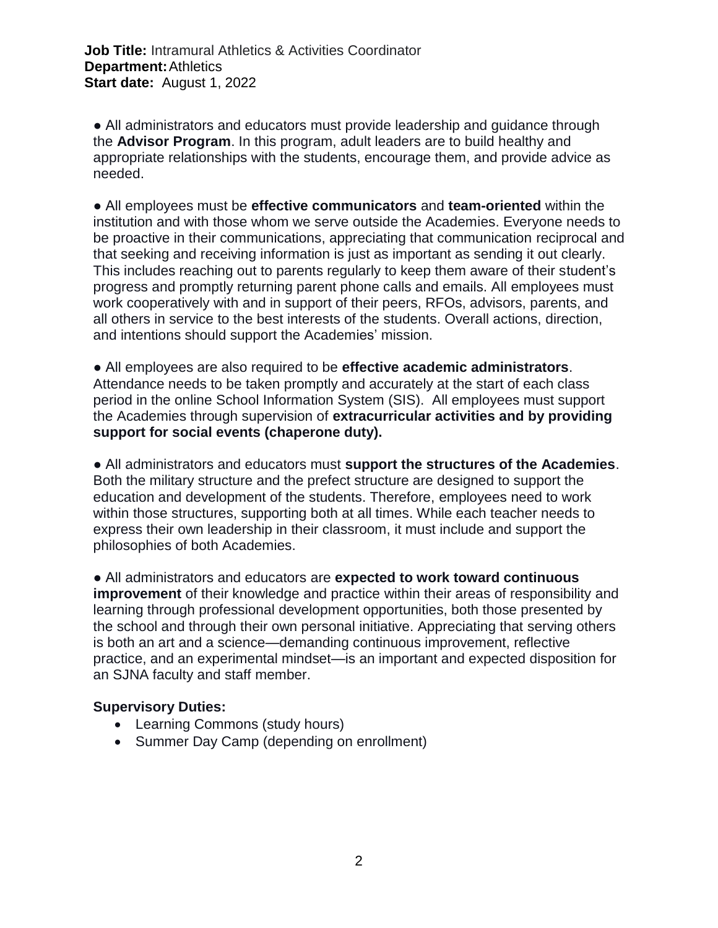**Job Title:** Intramural Athletics & Activities Coordinator **Department:**Athletics **Start date:** August 1, 2022

• All administrators and educators must provide leadership and guidance through the **Advisor Program**. In this program, adult leaders are to build healthy and appropriate relationships with the students, encourage them, and provide advice as needed.

● All employees must be **effective communicators** and **team-oriented** within the institution and with those whom we serve outside the Academies. Everyone needs to be proactive in their communications, appreciating that communication reciprocal and that seeking and receiving information is just as important as sending it out clearly. This includes reaching out to parents regularly to keep them aware of their student's progress and promptly returning parent phone calls and emails. All employees must work cooperatively with and in support of their peers, RFOs, advisors, parents, and all others in service to the best interests of the students. Overall actions, direction, and intentions should support the Academies' mission.

● All employees are also required to be **effective academic administrators**. Attendance needs to be taken promptly and accurately at the start of each class period in the online School Information System (SIS). All employees must support the Academies through supervision of **extracurricular activities and by providing support for social events (chaperone duty).**

● All administrators and educators must **support the structures of the Academies**. Both the military structure and the prefect structure are designed to support the education and development of the students. Therefore, employees need to work within those structures, supporting both at all times. While each teacher needs to express their own leadership in their classroom, it must include and support the philosophies of both Academies.

● All administrators and educators are **expected to work toward continuous improvement** of their knowledge and practice within their areas of responsibility and learning through professional development opportunities, both those presented by the school and through their own personal initiative. Appreciating that serving others is both an art and a science—demanding continuous improvement, reflective practice, and an experimental mindset—is an important and expected disposition for an SJNA faculty and staff member.

#### **Supervisory Duties:**

- Learning Commons (study hours)
- Summer Day Camp (depending on enrollment)